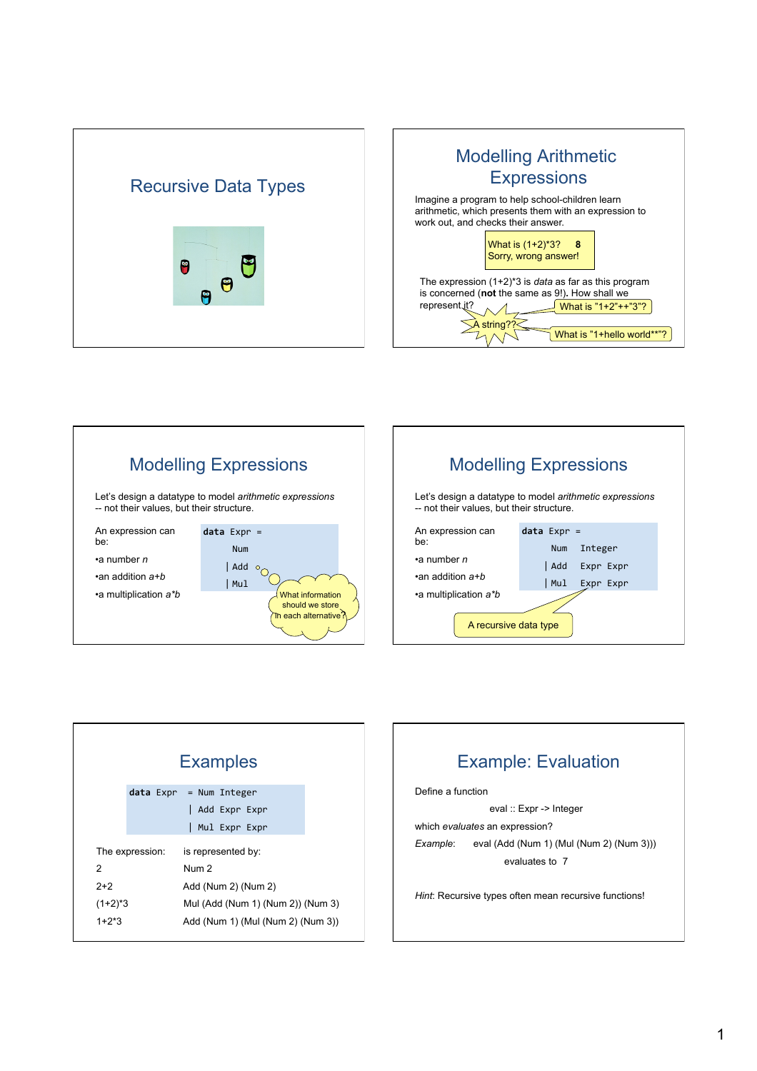







|                 | <b>Examples</b>                   |
|-----------------|-----------------------------------|
|                 | $data$ Expr = Num Integer         |
|                 | Add Expr Expr                     |
|                 | Mul Expr Expr                     |
| The expression: | is represented by:                |
| 2               | Num <sub>2</sub>                  |
| $2+2$           | Add (Num 2) (Num 2)               |
| $(1+2)^*$ 3     | Mul (Add (Num 1) (Num 2)) (Num 3) |
| $1+2*3$         | Add (Num 1) (Mul (Num 2) (Num 3)) |
|                 |                                   |

# **Example: Evaluation**

Define a function

eval :: Expr -> Integer which evaluates an expression? eval (Add (Num 1) (Mul (Num 2) (Num 3))) Example: evaluates to 7

Hint: Recursive types often mean recursive functions!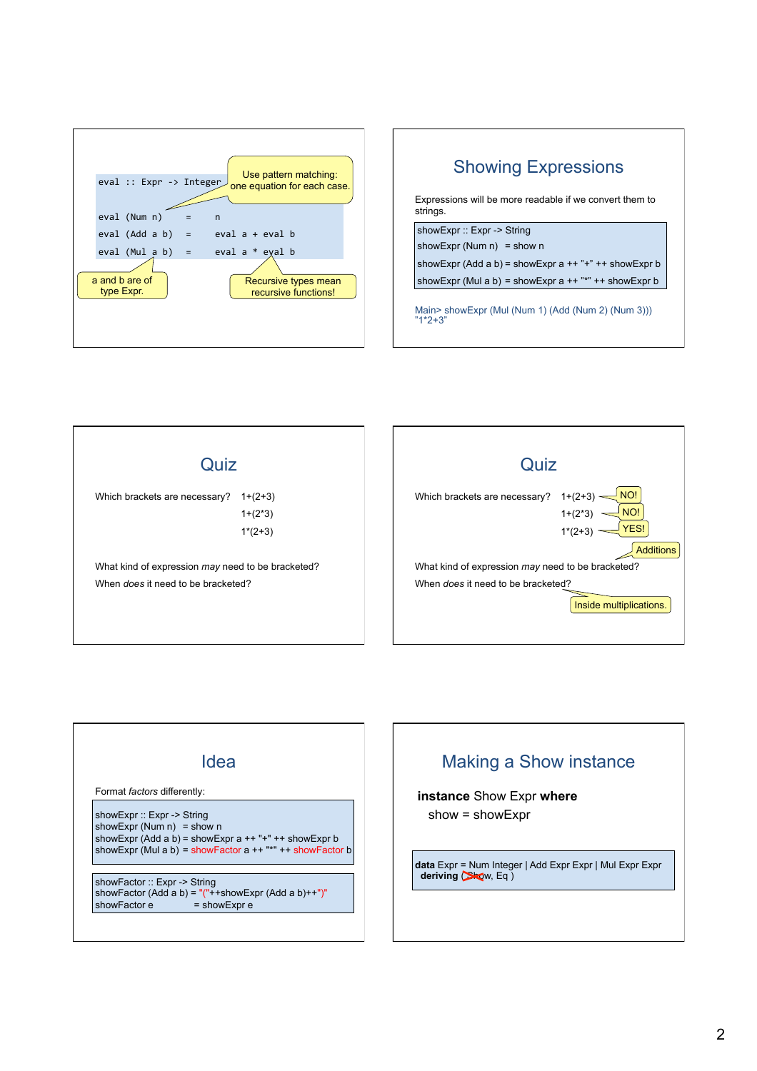









**Additions**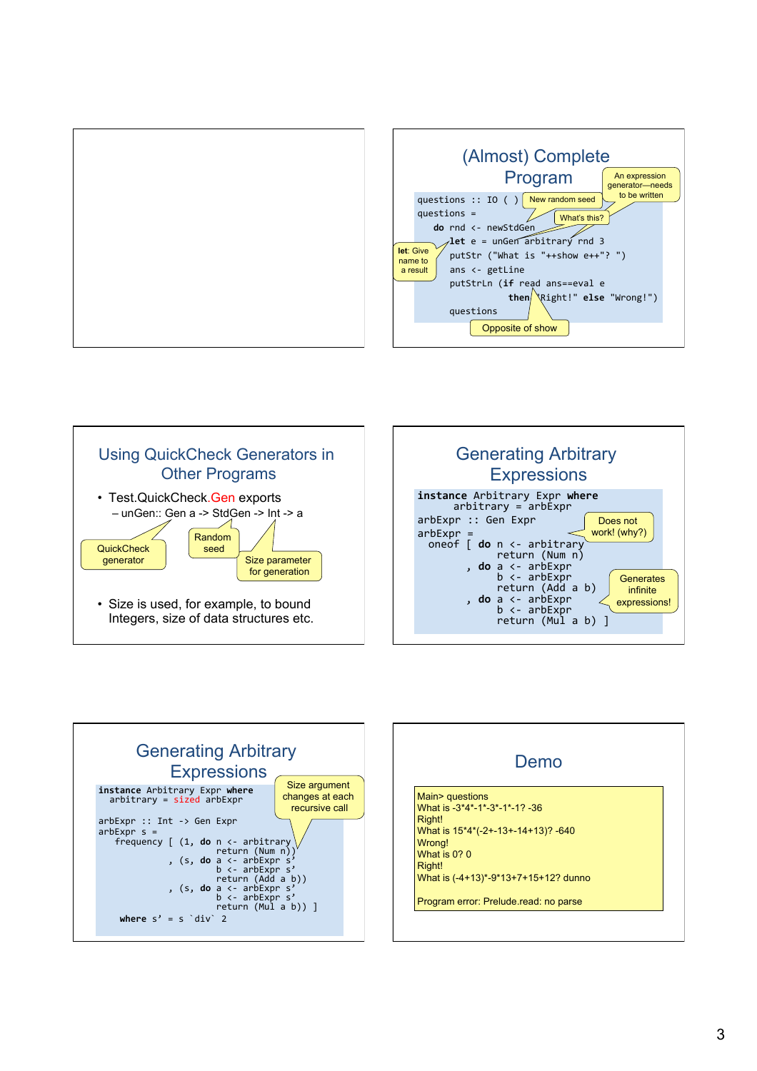









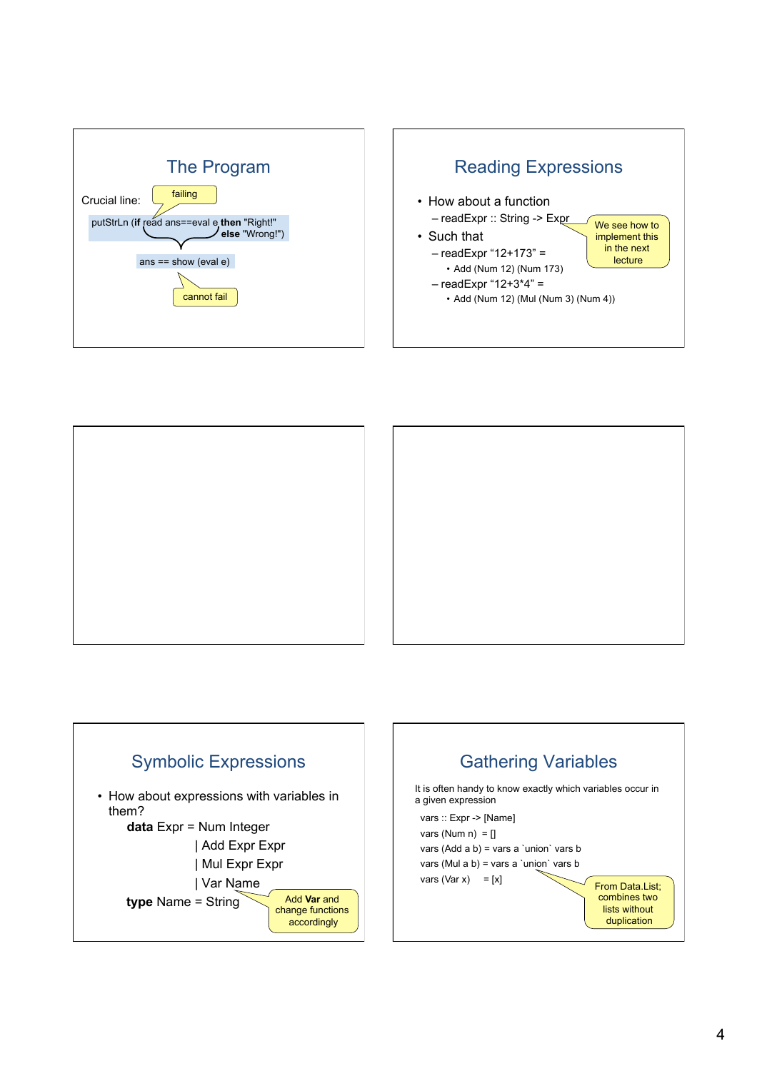





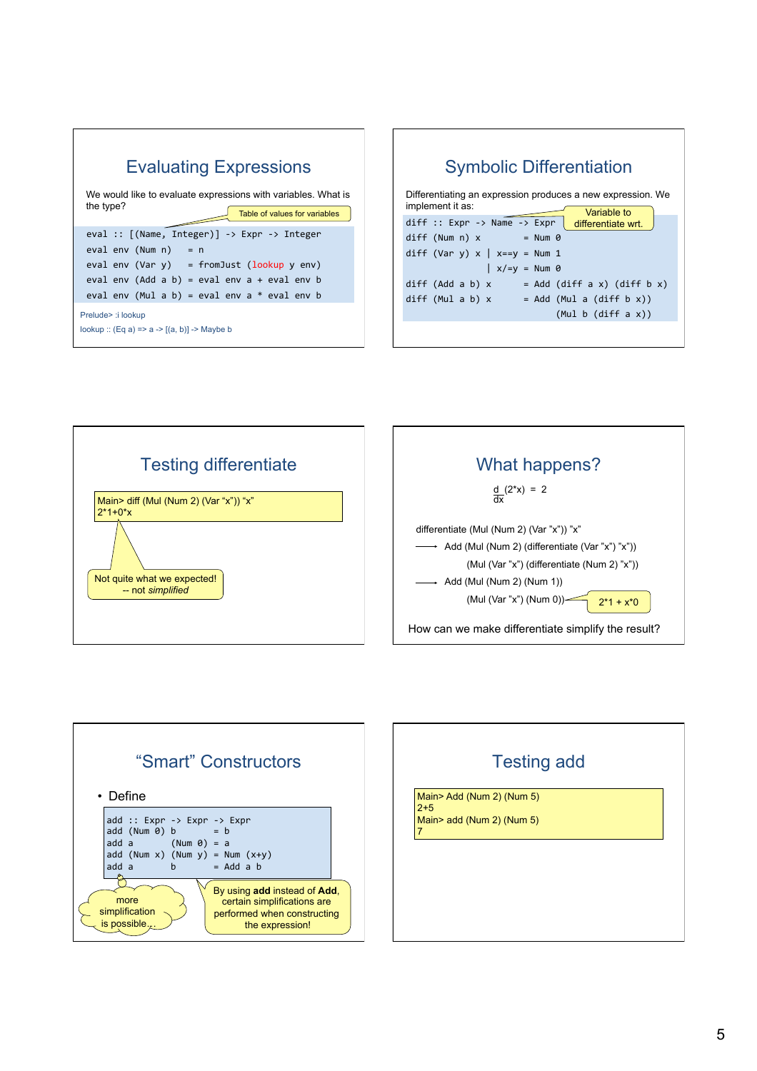









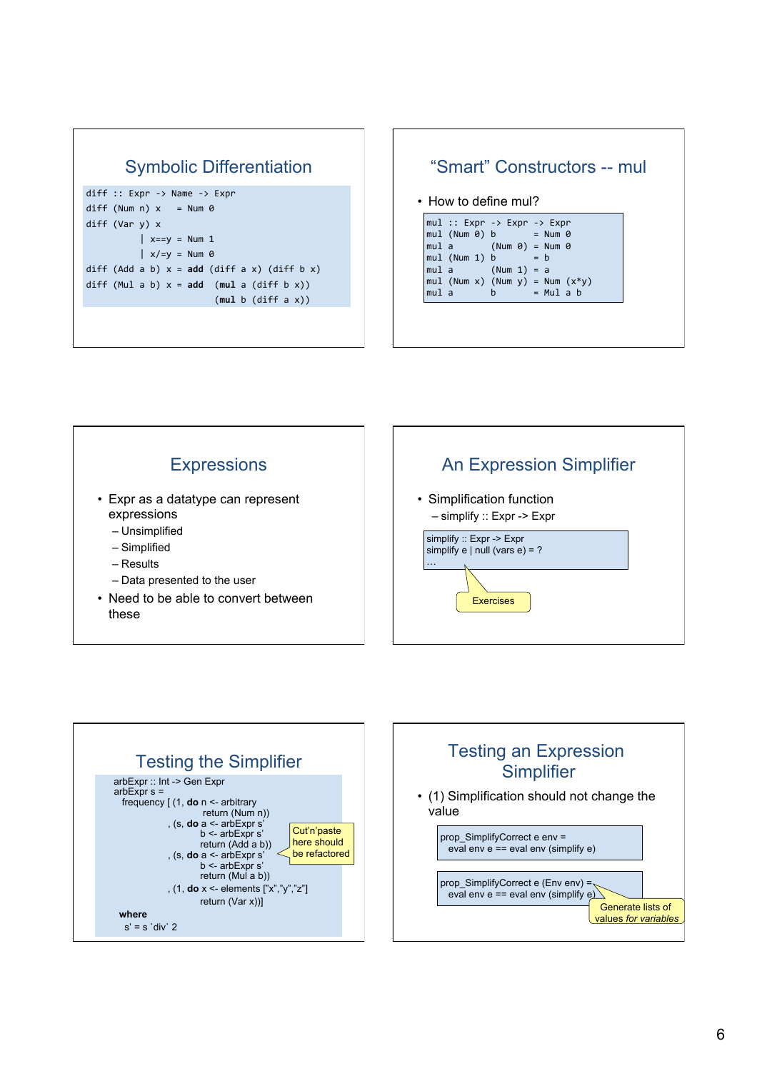# **Symbolic Differentiation**

```
diff :: Error -> Name -> Exprdiff (Num n) x = Num \thetadiff (Var y) x\vert x==y = Num 1
           \vert x \vert = y = N \vert \text{um} \thetadiff (Add a b) x = add (diff a x) (diff b x)
diff (Mul a b) x = add (mul a (diff b x))
                            (mul b (diff a x))
```
#### "Smart" Constructors -- mul • How to define mul? mul :: Expr -> Expr -> Expr  $mul$  (Num  $0$ )  $b$  $= Num \theta$  $(Num 0) = Num 0$  $mul a$  $mul (Num 1) b$  $= b$  $(Num 1) = a$  $mul a$ mul (Num x) (Num y) = Num  $(x*y)$  $mu1$  a  $\dot{b}$  $=$  Mul a b